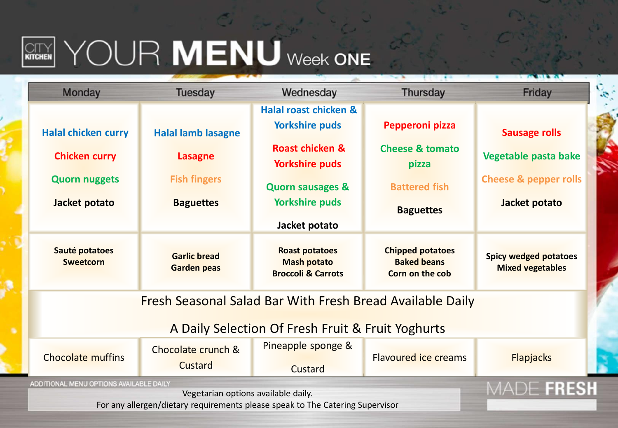## $\boxed{\text{CITY}}$   $\begin{picture}(10,10) \put(0,0){\line(1,0){10}} \put(10,0){\line(1,0){10}} \put(10,0){\line(1,0){10}} \put(10,0){\line(1,0){10}} \put(10,0){\line(1,0){10}} \put(10,0){\line(1,0){10}} \put(10,0){\line(1,0){10}} \put(10,0){\line(1,0){10}} \put(10,0){\line(1,0){10}} \put(10,0){\line(1,0){10}} \put(10,0){\line(1,0){10}}$

| <b>Monday</b>                                                                 | <b>Tuesday</b>                            | Wednesday                                                                    | <b>Thursday</b>                                                  | Friday                                                  |  |  |  |  |
|-------------------------------------------------------------------------------|-------------------------------------------|------------------------------------------------------------------------------|------------------------------------------------------------------|---------------------------------------------------------|--|--|--|--|
|                                                                               |                                           | <b>Halal roast chicken &amp;</b>                                             |                                                                  |                                                         |  |  |  |  |
| <b>Halal chicken curry</b>                                                    | <b>Halal lamb lasagne</b>                 | <b>Yorkshire puds</b>                                                        | Pepperoni pizza                                                  | <b>Sausage rolls</b>                                    |  |  |  |  |
| <b>Chicken curry</b>                                                          | <b>Lasagne</b>                            | <b>Roast chicken &amp;</b><br><b>Yorkshire puds</b>                          | <b>Cheese &amp; tomato</b><br>pizza                              | Vegetable pasta bake                                    |  |  |  |  |
| <b>Quorn nuggets</b>                                                          | <b>Fish fingers</b>                       | <b>Quorn sausages &amp;</b>                                                  | <b>Battered fish</b>                                             | <b>Cheese &amp; pepper rolls</b>                        |  |  |  |  |
| Jacket potato                                                                 | <b>Baguettes</b>                          | <b>Yorkshire puds</b>                                                        | <b>Baguettes</b>                                                 | Jacket potato                                           |  |  |  |  |
|                                                                               |                                           | Jacket potato                                                                |                                                                  |                                                         |  |  |  |  |
| Sauté potatoes<br><b>Sweetcorn</b>                                            | <b>Garlic bread</b><br><b>Garden peas</b> | <b>Roast potatoes</b><br><b>Mash potato</b><br><b>Broccoli &amp; Carrots</b> | <b>Chipped potatoes</b><br><b>Baked beans</b><br>Corn on the cob | <b>Spicy wedged potatoes</b><br><b>Mixed vegetables</b> |  |  |  |  |
| Fresh Seasonal Salad Bar With Fresh Bread Available Daily                     |                                           |                                                                              |                                                                  |                                                         |  |  |  |  |
| A Daily Selection Of Fresh Fruit & Fruit Yoghurts                             |                                           |                                                                              |                                                                  |                                                         |  |  |  |  |
| <b>Chocolate muffins</b>                                                      | Chocolate crunch &                        | Pineapple sponge &                                                           | Flavoured ice creams                                             | <b>Flapjacks</b>                                        |  |  |  |  |
|                                                                               | Custard                                   | Custard                                                                      |                                                                  |                                                         |  |  |  |  |
| ADDITIONAL MENU OPTIONS AVAILABLE DAILY                                       | MADE FRESH                                |                                                                              |                                                                  |                                                         |  |  |  |  |
| For any allergen/dietary requirements please speak to The Catering Supervisor |                                           |                                                                              |                                                                  |                                                         |  |  |  |  |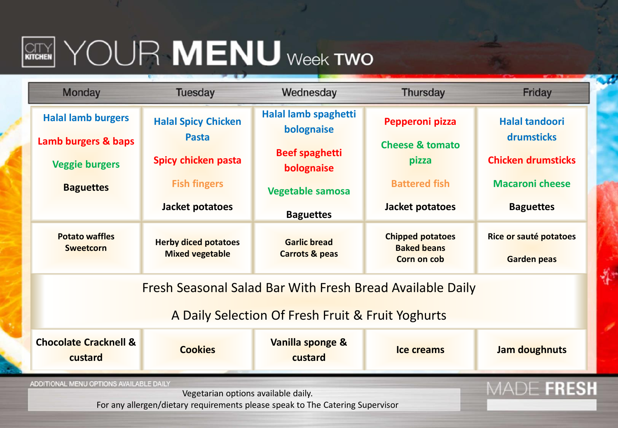## $\left[\begin{matrix} \text{CITY} \end{matrix}\right]$   $\text{YOUR}$   $\text{MEMU}$  week two

|                                                                                                                          |                                                       |                                                  | <b>Thursday</b>                                              | Friday                                       |  |  |  |
|--------------------------------------------------------------------------------------------------------------------------|-------------------------------------------------------|--------------------------------------------------|--------------------------------------------------------------|----------------------------------------------|--|--|--|
| <b>Halal lamb burgers</b>                                                                                                | <b>Halal Spicy Chicken</b>                            | Halal lamb spaghetti<br>bolognaise               | Pepperoni pizza                                              | <b>Halal tandoori</b>                        |  |  |  |
| Lamb burgers & baps<br><b>Veggie burgers</b>                                                                             | <b>Pasta</b><br>Spicy chicken pasta                   | <b>Beef spaghetti</b>                            | <b>Cheese &amp; tomato</b><br>pizza                          | drumsticks<br><b>Chicken drumsticks</b>      |  |  |  |
| <b>Baguettes</b>                                                                                                         | <b>Fish fingers</b>                                   | bolognaise<br><b>Vegetable samosa</b>            | <b>Battered fish</b>                                         | <b>Macaroni cheese</b>                       |  |  |  |
|                                                                                                                          | Jacket potatoes                                       | <b>Baguettes</b>                                 | Jacket potatoes                                              | <b>Baguettes</b>                             |  |  |  |
| <b>Potato waffles</b><br><b>Sweetcorn</b>                                                                                | <b>Herby diced potatoes</b><br><b>Mixed vegetable</b> | <b>Garlic bread</b><br><b>Carrots &amp; peas</b> | <b>Chipped potatoes</b><br><b>Baked beans</b><br>Corn on cob | Rice or sauté potatoes<br><b>Garden peas</b> |  |  |  |
| Fresh Seasonal Salad Bar With Fresh Bread Available Daily<br>A Daily Selection Of Fresh Fruit & Fruit Yoghurts           |                                                       |                                                  |                                                              |                                              |  |  |  |
| <b>Chocolate Cracknell &amp;</b><br>custard                                                                              | <b>Cookies</b>                                        | Vanilla sponge &<br>custard                      | Ice creams                                                   | Jam doughnuts                                |  |  |  |
| ADDITIONAL MENU OPTIONS AVAILABLE DAILY<br>For any allergen/dietary requirements please speak to The Catering Supervisor | MADE FRESH                                            |                                                  |                                                              |                                              |  |  |  |